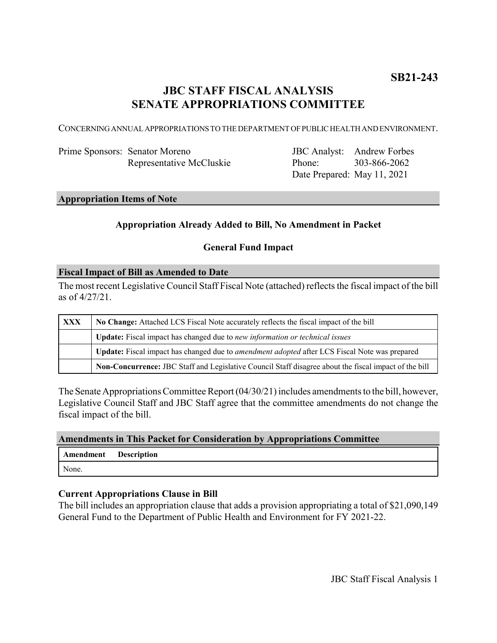# **JBC STAFF FISCAL ANALYSIS SENATE APPROPRIATIONS COMMITTEE**

CONCERNING ANNUAL APPROPRIATIONS TO THE DEPARTMENT OF PUBLIC HEALTH AND ENVIRONMENT.

| Prime Sponsors: Senator Moreno |
|--------------------------------|
| Representative McCluskie       |

JBC Analyst: Andrew Forbes Phone: Date Prepared: May 11, 2021 303-866-2062

### **Appropriation Items of Note**

### **Appropriation Already Added to Bill, No Amendment in Packet**

## **General Fund Impact**

#### **Fiscal Impact of Bill as Amended to Date**

The most recent Legislative Council Staff Fiscal Note (attached) reflects the fiscal impact of the bill as of 4/27/21.

| <b>XXX</b> | No Change: Attached LCS Fiscal Note accurately reflects the fiscal impact of the bill                 |  |
|------------|-------------------------------------------------------------------------------------------------------|--|
|            | <b>Update:</b> Fiscal impact has changed due to new information or technical issues                   |  |
|            | Update: Fiscal impact has changed due to <i>amendment adopted</i> after LCS Fiscal Note was prepared  |  |
|            | Non-Concurrence: JBC Staff and Legislative Council Staff disagree about the fiscal impact of the bill |  |

The Senate Appropriations Committee Report (04/30/21) includes amendments to the bill, however, Legislative Council Staff and JBC Staff agree that the committee amendments do not change the fiscal impact of the bill.

#### **Amendments in This Packet for Consideration by Appropriations Committee**

| Amendment | <b>Description</b> |
|-----------|--------------------|
| None.     |                    |

### **Current Appropriations Clause in Bill**

The bill includes an appropriation clause that adds a provision appropriating a total of \$21,090,149 General Fund to the Department of Public Health and Environment for FY 2021-22.